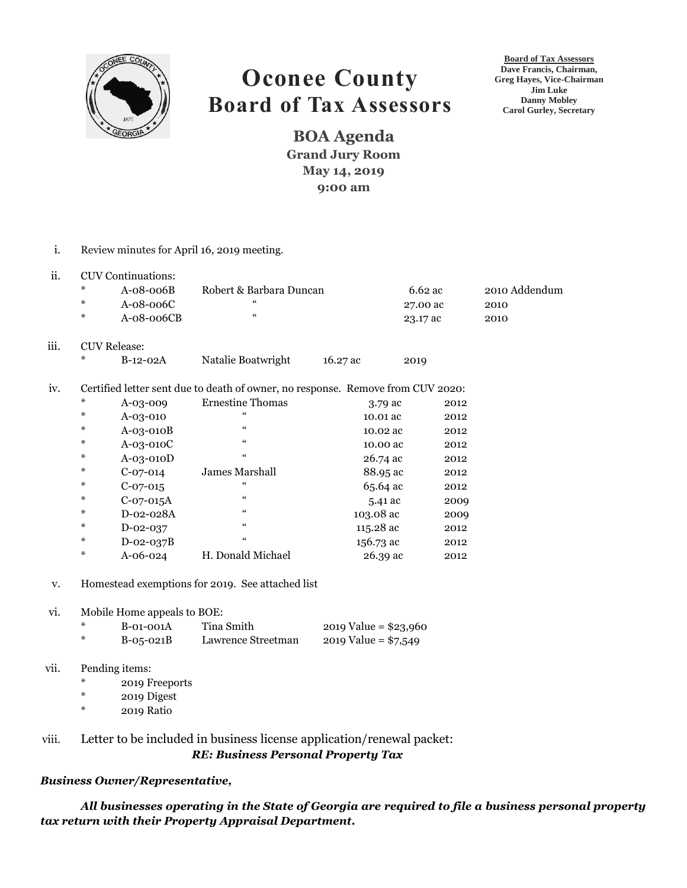

## **Oconee County Board of Tax Assessors**

**Board of Tax Assessors Dave Francis, Chairman, Greg Hayes, Vice-Chairman Jim Luke Danny Mobley Carol Gurley, Secretary**

**BOA Agenda Grand Jury Room May 14, 2019 9:00 am**

i. Review minutes for April 16, 2019 meeting. ii. CUV Continuations: \* A-08-006B Robert & Barbara Duncan 6.62 ac 2010 Addendum \* A-08-006C " 27.00 ac 2010 \* A-08-006CB " 23.17 ac 2010 iii. CUV Release: B-12-02A Natalie Boatwright 16.27 ac 2019 iv. Certified letter sent due to death of owner, no response. Remove from CUV 2020: A-03-009 Ernestine Thomas 3.79 ac 2012 \* A-03-010 " 10.01 ac 2012 \* A-03-010B " 10.02 ac 2012 \* A-03-010C \* 10.00 ac 2012 A-03-010D " 26.74 ac 2012 \* C-07-014 James Marshall 88.95 ac 2012 \*  $C-07-015$  " 65.64 ac 2012 \*  $C-07-015A$  "  $5.41$  ac 2009 D-02-028A " 103.08 ac 2009 \* D-02-037 " 115.28 ac 2012 \* D-02-037B " 156.73 ac 2012 \* A-06-024 H. Donald Michael 26.39 ac 2012 v. Homestead exemptions for 2019. See attached list vi. Mobile Home appeals to BOE:  $B$ -01-001A Tina Smith 2019 Value = \$23,960 \* B-05-021B Lawrence Streetman 2019 Value = \$7,549 vii. Pending items: \* 2019 Freeports \* 2019 Digest \* 2019 Ratio viii. Letter to be included in business license application/renewal packet:  *RE: Business Personal Property Tax*

## *Business Owner/Representative,*

*All businesses operating in the State of Georgia are required to file a business personal property tax return with their Property Appraisal Department.*